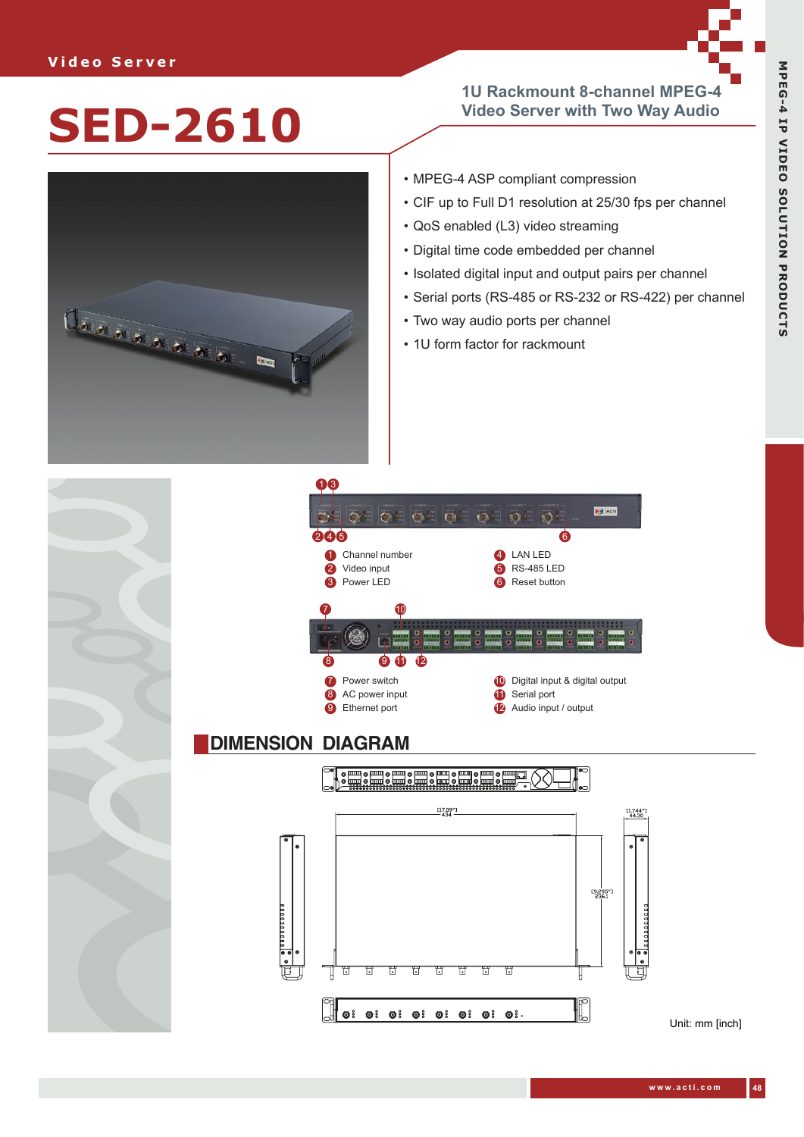## **1U Rackmount 8-channel MPEG-4 Video Server with Two Way Audio**



- MPEG-4 ASP compliant compression
- CIF up to Full D1 resolution at 25/30 fps per channel
- QoS enabled (L3) video streaming
- Digital time code embedded per channel
- Isolated digital input and output pairs per channel
- Serial ports (RS-485 or RS-232 or RS-422) per channel
- Two way audio ports per channel
- 1U form factor for rackmount





## **DIMENSION DIAGRAM**



Unit: mm [inch]